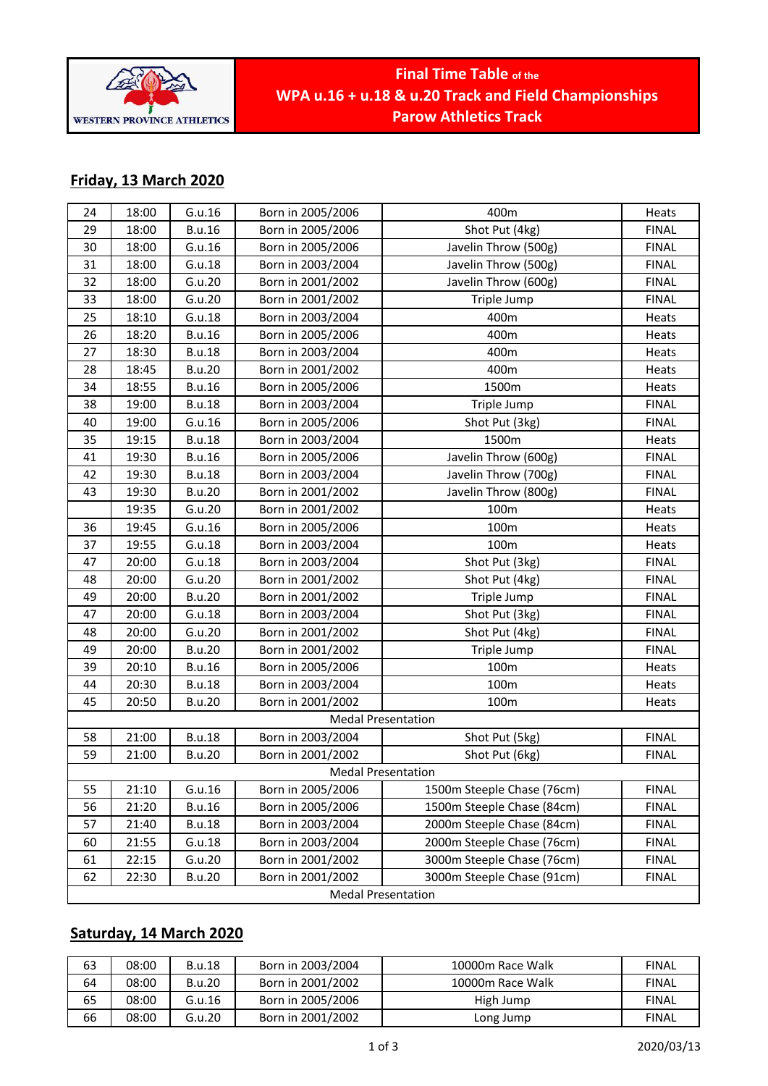

# **Final Time Table of the WPA u.16 + u.18 & u.20 Track and Field Championships Parow Athletics Track**

# **Friday, 13 March 2020**

| 24                        | 18:00 | G.u.16        | Born in 2005/2006 | 400m                       | Heats        |
|---------------------------|-------|---------------|-------------------|----------------------------|--------------|
| 29                        | 18:00 | <b>B.u.16</b> | Born in 2005/2006 | Shot Put (4kg)             | <b>FINAL</b> |
| 30                        | 18:00 | G.u.16        | Born in 2005/2006 | Javelin Throw (500g)       | <b>FINAL</b> |
| 31                        | 18:00 | G.u.18        | Born in 2003/2004 | Javelin Throw (500g)       | <b>FINAL</b> |
| 32                        | 18:00 | G.u.20        | Born in 2001/2002 | Javelin Throw (600g)       | <b>FINAL</b> |
| 33                        | 18:00 | G.u.20        | Born in 2001/2002 | Triple Jump                | <b>FINAL</b> |
| 25                        | 18:10 | G.u.18        | Born in 2003/2004 | 400m                       | Heats        |
| 26                        | 18:20 | <b>B.u.16</b> | Born in 2005/2006 | 400m                       | Heats        |
| 27                        | 18:30 | <b>B.u.18</b> | Born in 2003/2004 | 400m                       | Heats        |
| 28                        | 18:45 | <b>B.u.20</b> | Born in 2001/2002 | 400m                       | Heats        |
| 34                        | 18:55 | <b>B.u.16</b> | Born in 2005/2006 | 1500m                      | Heats        |
| 38                        | 19:00 | <b>B.u.18</b> | Born in 2003/2004 | Triple Jump                | <b>FINAL</b> |
| 40                        | 19:00 | G.u.16        | Born in 2005/2006 | Shot Put (3kg)             | <b>FINAL</b> |
| 35                        | 19:15 | <b>B.u.18</b> | Born in 2003/2004 | 1500m                      | Heats        |
| 41                        | 19:30 | <b>B.u.16</b> | Born in 2005/2006 | Javelin Throw (600g)       | <b>FINAL</b> |
| 42                        | 19:30 | <b>B.u.18</b> | Born in 2003/2004 | Javelin Throw (700g)       | <b>FINAL</b> |
| 43                        | 19:30 | <b>B.u.20</b> | Born in 2001/2002 | Javelin Throw (800g)       | <b>FINAL</b> |
|                           | 19:35 | G.u.20        | Born in 2001/2002 | 100m                       | Heats        |
| 36                        | 19:45 | G.u.16        | Born in 2005/2006 | 100m                       | Heats        |
| 37                        | 19:55 | G.u.18        | Born in 2003/2004 | 100m                       | Heats        |
| 47                        | 20:00 | G.u.18        | Born in 2003/2004 | Shot Put (3kg)             | <b>FINAL</b> |
| 48                        | 20:00 | G.u.20        | Born in 2001/2002 | Shot Put (4kg)             | <b>FINAL</b> |
| 49                        | 20:00 | <b>B.u.20</b> | Born in 2001/2002 | Triple Jump                | <b>FINAL</b> |
| 47                        | 20:00 | G.u.18        | Born in 2003/2004 | Shot Put (3kg)             | <b>FINAL</b> |
| 48                        | 20:00 | G.u.20        | Born in 2001/2002 | Shot Put (4kg)             | <b>FINAL</b> |
| 49                        | 20:00 | <b>B.u.20</b> | Born in 2001/2002 | Triple Jump                | <b>FINAL</b> |
| 39                        | 20:10 | <b>B.u.16</b> | Born in 2005/2006 | 100m                       | Heats        |
| 44                        | 20:30 | <b>B.u.18</b> | Born in 2003/2004 | 100m                       | Heats        |
| 45                        | 20:50 | <b>B.u.20</b> | Born in 2001/2002 | 100m                       | Heats        |
| <b>Medal Presentation</b> |       |               |                   |                            |              |
| 58                        | 21:00 | <b>B.u.18</b> | Born in 2003/2004 | Shot Put (5kg)             | <b>FINAL</b> |
| 59                        | 21:00 | <b>B.u.20</b> | Born in 2001/2002 | Shot Put (6kg)             | <b>FINAL</b> |
| <b>Medal Presentation</b> |       |               |                   |                            |              |
| 55                        | 21:10 | G.u.16        | Born in 2005/2006 | 1500m Steeple Chase (76cm) | <b>FINAL</b> |
| 56                        | 21:20 | <b>B.u.16</b> | Born in 2005/2006 | 1500m Steeple Chase (84cm) | <b>FINAL</b> |
| 57                        | 21:40 | <b>B.u.18</b> | Born in 2003/2004 | 2000m Steeple Chase (84cm) | <b>FINAL</b> |
| 60                        | 21:55 | G.u.18        | Born in 2003/2004 | 2000m Steeple Chase (76cm) | <b>FINAL</b> |
| 61                        | 22:15 | G.u.20        | Born in 2001/2002 | 3000m Steeple Chase (76cm) | <b>FINAL</b> |
| 62                        | 22:30 | <b>B.u.20</b> | Born in 2001/2002 | 3000m Steeple Chase (91cm) | <b>FINAL</b> |
| <b>Medal Presentation</b> |       |               |                   |                            |              |

# **Saturday, 14 March 2020**

| 63 | 08:00 | <b>B.u.18</b> | Born in 2003/2004 | 10000m Race Walk | <b>FINAL</b> |
|----|-------|---------------|-------------------|------------------|--------------|
| 64 | 08:00 | <b>B.u.20</b> | Born in 2001/2002 | 10000m Race Walk | <b>FINAL</b> |
| 65 | 08:00 | G.u.16        | Born in 2005/2006 | High Jump        | <b>FINAL</b> |
| 66 | 08:00 | G.u.20        | Born in 2001/2002 | Long Jump        | <b>FINAL</b> |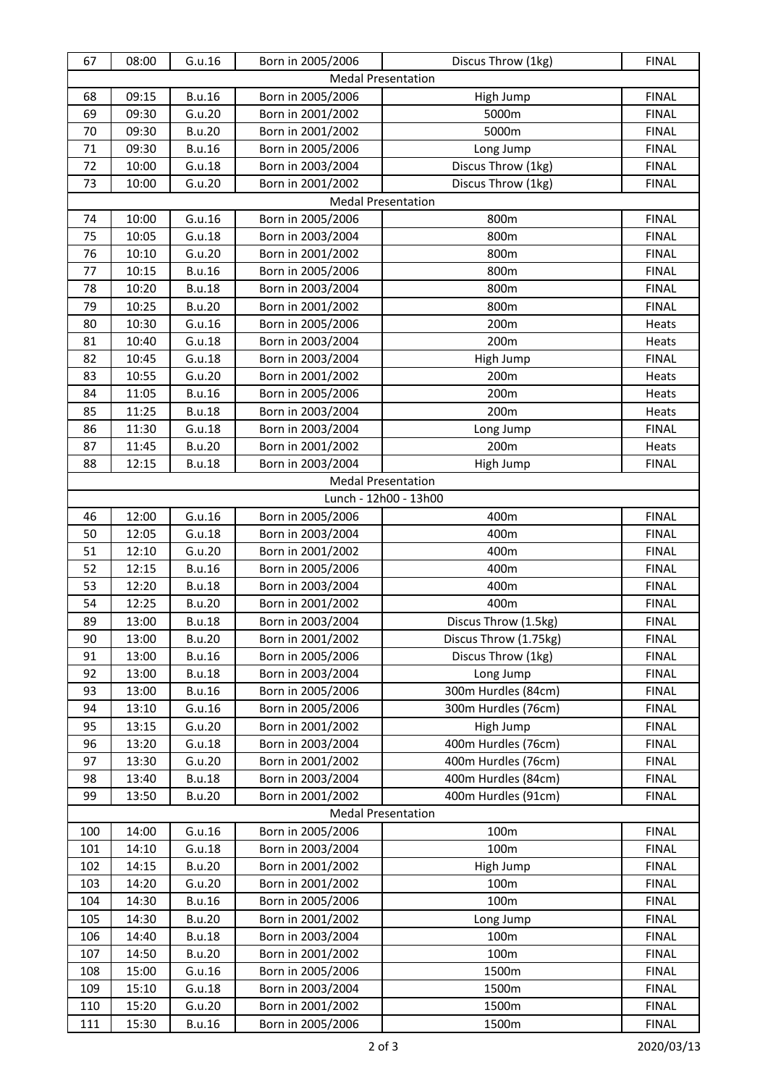| 67                        | 08:00                     | G.u.16        | Born in 2005/2006 | Discus Throw (1kg)        | <b>FINAL</b> |  |
|---------------------------|---------------------------|---------------|-------------------|---------------------------|--------------|--|
|                           |                           |               |                   | <b>Medal Presentation</b> |              |  |
| 68                        | 09:15                     | <b>B.u.16</b> | Born in 2005/2006 | High Jump                 | <b>FINAL</b> |  |
| 69                        | 09:30                     | G.u.20        | Born in 2001/2002 | 5000m                     | <b>FINAL</b> |  |
| 70                        | 09:30                     | <b>B.u.20</b> | Born in 2001/2002 | 5000m                     | <b>FINAL</b> |  |
| 71                        | 09:30                     | <b>B.u.16</b> | Born in 2005/2006 | Long Jump                 | <b>FINAL</b> |  |
| 72                        | 10:00                     | G.u.18        | Born in 2003/2004 | Discus Throw (1kg)        | <b>FINAL</b> |  |
| 73                        | 10:00                     | G.u.20        | Born in 2001/2002 | Discus Throw (1kg)        | <b>FINAL</b> |  |
|                           |                           |               |                   | <b>Medal Presentation</b> |              |  |
| 74                        | 10:00                     | G.u.16        | Born in 2005/2006 | 800m                      | <b>FINAL</b> |  |
| 75                        | 10:05                     | G.u.18        | Born in 2003/2004 | 800m                      | <b>FINAL</b> |  |
| 76                        | 10:10                     | G.u.20        | Born in 2001/2002 | 800m                      | <b>FINAL</b> |  |
| 77                        | 10:15                     | <b>B.u.16</b> | Born in 2005/2006 | 800m                      | <b>FINAL</b> |  |
| 78                        | 10:20                     | <b>B.u.18</b> | Born in 2003/2004 | 800m                      | <b>FINAL</b> |  |
| 79                        | 10:25                     | <b>B.u.20</b> | Born in 2001/2002 | 800m                      | <b>FINAL</b> |  |
| 80                        | 10:30                     | G.u.16        | Born in 2005/2006 | 200m                      | Heats        |  |
| 81                        | 10:40                     | G.u.18        | Born in 2003/2004 | 200m                      | Heats        |  |
| 82                        | 10:45                     | G.u.18        | Born in 2003/2004 | High Jump                 | <b>FINAL</b> |  |
| 83                        | 10:55                     | G.u.20        | Born in 2001/2002 | 200m                      | Heats        |  |
| 84                        | 11:05                     | <b>B.u.16</b> | Born in 2005/2006 | 200m                      | Heats        |  |
| 85                        | 11:25                     | <b>B.u.18</b> | Born in 2003/2004 | 200m                      | Heats        |  |
| 86                        | 11:30                     | G.u.18        | Born in 2003/2004 | Long Jump                 | <b>FINAL</b> |  |
| 87                        | 11:45                     | <b>B.u.20</b> | Born in 2001/2002 | 200m                      | Heats        |  |
| 88                        | 12:15                     | <b>B.u.18</b> | Born in 2003/2004 | High Jump                 | <b>FINAL</b> |  |
|                           | <b>Medal Presentation</b> |               |                   |                           |              |  |
|                           |                           |               |                   | Lunch - 12h00 - 13h00     |              |  |
| 46                        | 12:00                     | G.u.16        | Born in 2005/2006 | 400m                      | <b>FINAL</b> |  |
| 50                        | 12:05                     | G.u.18        | Born in 2003/2004 | 400m                      | <b>FINAL</b> |  |
| 51                        | 12:10                     | G.u.20        | Born in 2001/2002 | 400m                      | <b>FINAL</b> |  |
| 52                        | 12:15                     | <b>B.u.16</b> | Born in 2005/2006 | 400m                      | <b>FINAL</b> |  |
| 53                        | 12:20                     | <b>B.u.18</b> | Born in 2003/2004 | 400m                      | <b>FINAL</b> |  |
| 54                        | 12:25                     | <b>B.u.20</b> | Born in 2001/2002 | 400m                      | <b>FINAL</b> |  |
| 89                        | 13:00                     | <b>B.u.18</b> | Born in 2003/2004 | Discus Throw (1.5kg)      | <b>FINAL</b> |  |
| 90                        | 13:00                     | <b>B.u.20</b> | Born in 2001/2002 | Discus Throw (1.75kg)     | <b>FINAL</b> |  |
| 91                        | 13:00                     | <b>B.u.16</b> | Born in 2005/2006 | Discus Throw (1kg)        | <b>FINAL</b> |  |
| 92                        | 13:00                     | <b>B.u.18</b> | Born in 2003/2004 | Long Jump                 | <b>FINAL</b> |  |
| 93                        | 13:00                     | <b>B.u.16</b> | Born in 2005/2006 | 300m Hurdles (84cm)       | <b>FINAL</b> |  |
| 94                        | 13:10                     | G.u.16        | Born in 2005/2006 | 300m Hurdles (76cm)       | <b>FINAL</b> |  |
| 95                        | 13:15                     | G.u.20        | Born in 2001/2002 | High Jump                 | <b>FINAL</b> |  |
| 96                        | 13:20                     | G.u.18        | Born in 2003/2004 | 400m Hurdles (76cm)       | <b>FINAL</b> |  |
| 97                        | 13:30                     | G.u.20        | Born in 2001/2002 | 400m Hurdles (76cm)       | <b>FINAL</b> |  |
| 98                        | 13:40                     | <b>B.u.18</b> | Born in 2003/2004 | 400m Hurdles (84cm)       | <b>FINAL</b> |  |
| 99                        | 13:50                     | <b>B.u.20</b> | Born in 2001/2002 | 400m Hurdles (91cm)       | <b>FINAL</b> |  |
| <b>Medal Presentation</b> |                           |               |                   |                           |              |  |
| 100                       | 14:00                     | G.u.16        | Born in 2005/2006 | 100m                      | <b>FINAL</b> |  |
| 101                       | 14:10                     | G.u.18        | Born in 2003/2004 | 100m                      | <b>FINAL</b> |  |
| 102                       | 14:15                     | <b>B.u.20</b> | Born in 2001/2002 | High Jump                 | <b>FINAL</b> |  |
| 103                       | 14:20                     | G.u.20        | Born in 2001/2002 | 100m                      | <b>FINAL</b> |  |
| 104                       | 14:30                     | <b>B.u.16</b> | Born in 2005/2006 | 100m                      | <b>FINAL</b> |  |
| 105                       | 14:30                     | <b>B.u.20</b> | Born in 2001/2002 | Long Jump                 | <b>FINAL</b> |  |
| 106                       | 14:40                     | <b>B.u.18</b> | Born in 2003/2004 | 100m                      | <b>FINAL</b> |  |
| 107                       | 14:50                     | <b>B.u.20</b> | Born in 2001/2002 | 100m                      | <b>FINAL</b> |  |
| 108                       | 15:00                     | G.u.16        | Born in 2005/2006 | 1500m                     | <b>FINAL</b> |  |
| 109                       | 15:10                     | G.u.18        | Born in 2003/2004 | 1500m                     | <b>FINAL</b> |  |
| 110                       | 15:20                     | G.u.20        | Born in 2001/2002 | 1500m                     | <b>FINAL</b> |  |
| 111                       | 15:30                     | <b>B.u.16</b> | Born in 2005/2006 | 1500m                     | <b>FINAL</b> |  |